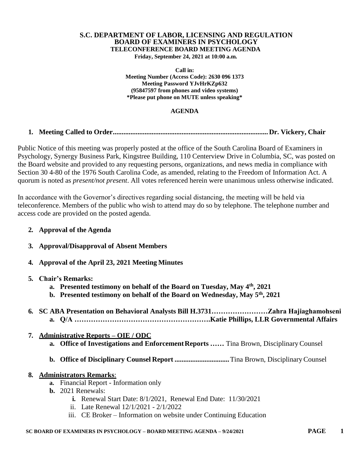# **S.C. DEPARTMENT OF LABOR, LICENSING AND REGULATION BOARD OF EXAMINERS IN PSYCHOLOGY TELECONFERENCE BOARD MEETING AGENDA**

**Friday, September 24, 2021 at 10:00 a.m.**

**Call in: Meeting Number (Access Code): 2630 096 1373 Meeting Password YJvHrKZp632 (95847597 from phones and video systems) \*Please put phone on MUTE unless speaking\***

#### **AGENDA**

# **1. Meeting Called to Order........................................................................................Dr. Vickery, Chair**

Public Notice of this meeting was properly posted at the office of the South Carolina Board of Examiners in Psychology, Synergy Business Park, Kingstree Building, 110 Centerview Drive in Columbia, SC, was posted on the Board website and provided to any requesting persons, organizations, and news media in compliance with Section 30 4-80 of the 1976 South Carolina Code, as amended, relating to the Freedom of Information Act. A quorum is noted as *present/not present*. All votes referenced herein were unanimous unless otherwise indicated.

In accordance with the Governor's directives regarding social distancing, the meeting will be held via teleconference. Members of the public who wish to attend may do so by telephone. The telephone number and access code are provided on the posted agenda.

- **2. Approval of the Agenda**
- **3. Approval/Disapproval of Absent Members**
- **4. Approval of the April 23, 2021 Meeting Minutes**

#### **5. Chair's Remarks:**

- **a. Presented testimony on behalf of the Board on Tuesday, May 4th , 2021**
- **b. Presented testimony on behalf of the Board on Wednesday, May 5th , 2021**
- **6. SC ABA Presentation on Behavioral Analysts Bill H.3731……………………Zahra Hajiaghamohseni a. Q/A ………………………………………………….Katie Phillips, LLR Governmental Affairs**

# **7. Administrative Reports – OIE / ODC**

- **a. Office of Investigations and EnforcementReports ……** Tina Brown, DisciplinaryCounsel
- **b. Office of Disciplinary Counsel Report ...............................**Tina Brown, DisciplinaryCounsel

#### **8. Administrators Remarks**:

- **a.** Financial Report Information only
- **b.** 2021 Renewals:
	- **i.** Renewal Start Date: 8/1/2021, Renewal End Date: 11/30/2021
	- ii. Late Renewal 12/1/2021 2/1/2022
	- iii. CE Broker Information on website under Continuing Education